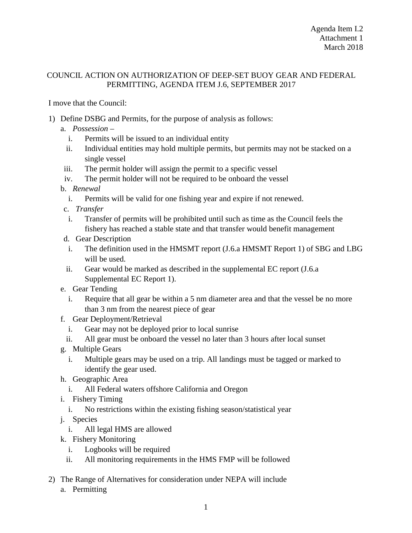## COUNCIL ACTION ON AUTHORIZATION OF DEEP-SET BUOY GEAR AND FEDERAL PERMITTING, AGENDA ITEM J.6, SEPTEMBER 2017

I move that the Council:

- 1) Define DSBG and Permits, for the purpose of analysis as follows:
	- a. *Possession*
		- i. Permits will be issued to an individual entity
		- ii. Individual entities may hold multiple permits, but permits may not be stacked on a single vessel
	- iii. The permit holder will assign the permit to a specific vessel
	- iv. The permit holder will not be required to be onboard the vessel
	- b. *Renewal*
		- i. Permits will be valid for one fishing year and expire if not renewed.
	- c. *Transfer*
	- i. Transfer of permits will be prohibited until such as time as the Council feels the fishery has reached a stable state and that transfer would benefit management
	- d. Gear Description
	- i. The definition used in the HMSMT report (J.6.a HMSMT Report 1) of SBG and LBG will be used.
	- ii. Gear would be marked as described in the supplemental EC report (J.6.a Supplemental EC Report 1).
	- e. Gear Tending
		- i. Require that all gear be within a 5 nm diameter area and that the vessel be no more than 3 nm from the nearest piece of gear
	- f. Gear Deployment/Retrieval
		- i. Gear may not be deployed prior to local sunrise
		- ii. All gear must be onboard the vessel no later than 3 hours after local sunset
	- g. Multiple Gears
		- i. Multiple gears may be used on a trip. All landings must be tagged or marked to identify the gear used.
	- h. Geographic Area
		- i. All Federal waters offshore California and Oregon
	- i. Fishery Timing
		- i. No restrictions within the existing fishing season/statistical year
	- j. Species
		- i. All legal HMS are allowed
	- k. Fishery Monitoring
		- i. Logbooks will be required
		- ii. All monitoring requirements in the HMS FMP will be followed
- 2) The Range of Alternatives for consideration under NEPA will include
	- a. Permitting